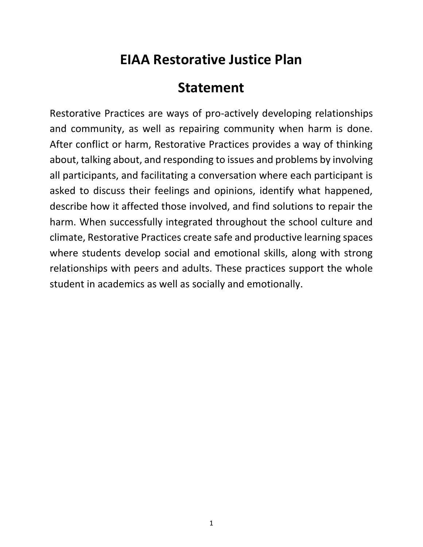## **EIAA Restorative Justice Plan**

## **Statement**

Restorative Practices are ways of pro-actively developing relationships and community, as well as repairing community when harm is done. After conflict or harm, Restorative Practices provides a way of thinking about, talking about, and responding to issues and problems by involving all participants, and facilitating a conversation where each participant is asked to discuss their feelings and opinions, identify what happened, describe how it affected those involved, and find solutions to repair the harm. When successfully integrated throughout the school culture and climate, Restorative Practices create safe and productive learning spaces where students develop social and emotional skills, along with strong relationships with peers and adults. These practices support the whole student in academics as well as socially and emotionally.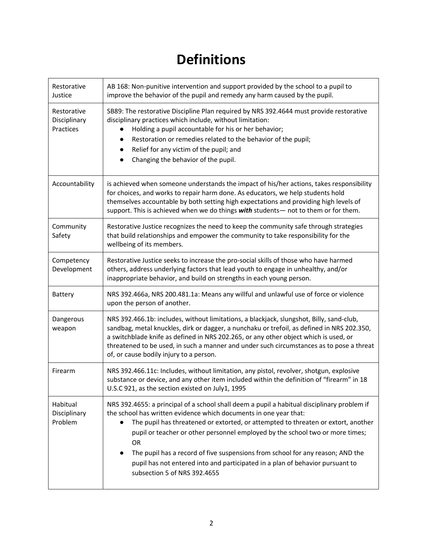## **Definitions**

| Restorative<br>Justice                   | AB 168: Non-punitive intervention and support provided by the school to a pupil to<br>improve the behavior of the pupil and remedy any harm caused by the pupil.                                                                                                                                                                                                                                                                                                                                                                                                          |
|------------------------------------------|---------------------------------------------------------------------------------------------------------------------------------------------------------------------------------------------------------------------------------------------------------------------------------------------------------------------------------------------------------------------------------------------------------------------------------------------------------------------------------------------------------------------------------------------------------------------------|
| Restorative<br>Disciplinary<br>Practices | SB89: The restorative Discipline Plan required by NRS 392.4644 must provide restorative<br>disciplinary practices which include, without limitation:<br>Holding a pupil accountable for his or her behavior;<br>Restoration or remedies related to the behavior of the pupil;<br>Relief for any victim of the pupil; and<br>Changing the behavior of the pupil.                                                                                                                                                                                                           |
| Accountability                           | is achieved when someone understands the impact of his/her actions, takes responsibility<br>for choices, and works to repair harm done. As educators, we help students hold<br>themselves accountable by both setting high expectations and providing high levels of<br>support. This is achieved when we do things with students- not to them or for them.                                                                                                                                                                                                               |
| Community<br>Safety                      | Restorative Justice recognizes the need to keep the community safe through strategies<br>that build relationships and empower the community to take responsibility for the<br>wellbeing of its members.                                                                                                                                                                                                                                                                                                                                                                   |
| Competency<br>Development                | Restorative Justice seeks to increase the pro-social skills of those who have harmed<br>others, address underlying factors that lead youth to engage in unhealthy, and/or<br>inappropriate behavior, and build on strengths in each young person.                                                                                                                                                                                                                                                                                                                         |
| Battery                                  | NRS 392.466a, NRS 200.481.1a: Means any willful and unlawful use of force or violence<br>upon the person of another.                                                                                                                                                                                                                                                                                                                                                                                                                                                      |
| Dangerous<br>weapon                      | NRS 392.466.1b: includes, without limitations, a blackjack, slungshot, Billy, sand-club,<br>sandbag, metal knuckles, dirk or dagger, a nunchaku or trefoil, as defined in NRS 202.350,<br>a switchblade knife as defined in NRS 202.265, or any other object which is used, or<br>threatened to be used, in such a manner and under such circumstances as to pose a threat<br>of, or cause bodily injury to a person.                                                                                                                                                     |
| Firearm                                  | NRS 392.466.11c: Includes, without limitation, any pistol, revolver, shotgun, explosive<br>substance or device, and any other item included within the definition of "firearm" in 18<br>U.S.C 921, as the section existed on July1, 1995                                                                                                                                                                                                                                                                                                                                  |
| Habitual<br>Disciplinary<br>Problem      | NRS 392.4655: a principal of a school shall deem a pupil a habitual disciplinary problem if<br>the school has written evidence which documents in one year that:<br>The pupil has threatened or extorted, or attempted to threaten or extort, another<br>$\bullet$<br>pupil or teacher or other personnel employed by the school two or more times;<br>OR<br>The pupil has a record of five suspensions from school for any reason; AND the<br>$\bullet$<br>pupil has not entered into and participated in a plan of behavior pursuant to<br>subsection 5 of NRS 392.4655 |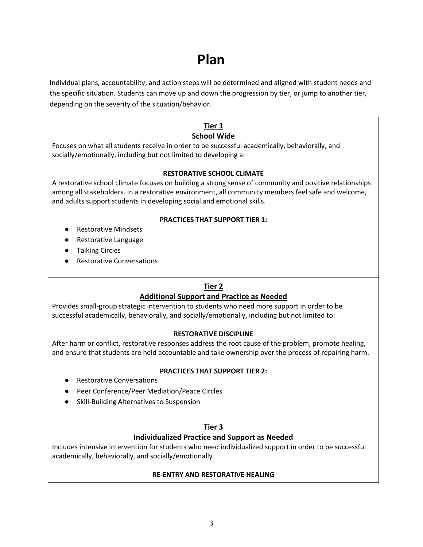## **Plan**

Individual plans, accountability, and action steps will be determined and aligned with student needs and the specific situation. Students can move up and down the progression by tier, or jump to another tier, depending on the severity of the situation/behavior.

#### **Tier 1 School Wide**

Focuses on what all students receive in order to be successful academically, behaviorally, and socially/emotionally, including but not limited to developing a:

#### **RESTORATIVE SCHOOL CLIMATE**

A restorative school climate focuses on building a strong sense of community and positive relationships among all stakeholders. In a restorative environment, all community members feel safe and welcome, and adults support students in developing social and emotional skills.

#### **PRACTICES THAT SUPPORT TIER 1:**

- Restorative Mindsets
- Restorative Language
- Talking Circles
- Restorative Conversations

#### **Tier 2**

#### **Additional Support and Practice as Needed**

Provides small-group strategic intervention to students who need more support in order to be successful academically, behaviorally, and socially/emotionally, including but not limited to:

#### **RESTORATIVE DISCIPLINE**

After harm or conflict, restorative responses address the root cause of the problem, promote healing, and ensure that students are held accountable and take ownership over the process of repairing harm.

#### **PRACTICES THAT SUPPORT TIER 2:**

- Restorative Conversations
- Peer Conference/Peer Mediation/Peace Circles
- Skill-Building Alternatives to Suspension

#### **Tier 3**

#### **Individualized Practice and Support as Needed**

Includes intensive intervention for students who need individualized support in order to be successful academically, behaviorally, and socially/emotionally

#### **RE-ENTRY AND RESTORATIVE HEALING**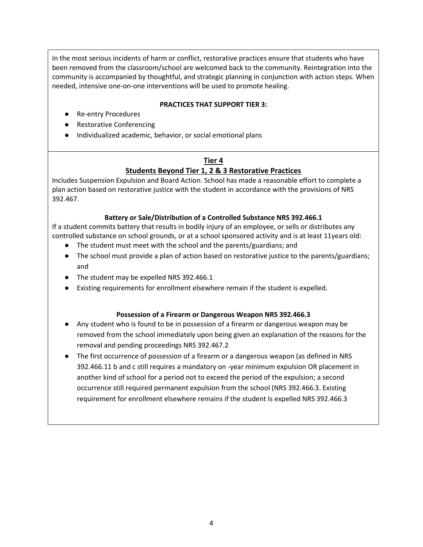In the most serious incidents of harm or conflict, restorative practices ensure that students who have been removed from the classroom/school are welcomed back to the community. Reintegration into the community is accompanied by thoughtful, and strategic planning in conjunction with action steps. When needed, intensive one-on-one interventions will be used to promote healing.

#### **PRACTICES THAT SUPPORT TIER 3:**

- Re-entry Procedures
- Restorative Conferencing
- Individualized academic, behavior, or social emotional plans

### **Tier 4 Students Beyond Tier 1, 2 & 3 Restorative Practices**

Includes Suspension Expulsion and Board Action. School has made a reasonable effort to complete a plan action based on restorative justice with the student in accordance with the provisions of NRS 392.467.

#### **Battery or Sale/Distribution of a Controlled Substance NRS 392.466.1**

If a student commits battery that results in bodily injury of an employee, or sells or distributes any controlled substance on school grounds, or at a school sponsored activity and is at least 11years old:

- The student must meet with the school and the parents/guardians; and
- The school must provide a plan of action based on restorative justice to the parents/guardians; and
- The student may be expelled NRS 392.466.1
- Existing requirements for enrollment elsewhere remain if the student is expelled.

#### **Possession of a Firearm or Dangerous Weapon NRS 392.466.3**

- Any student who is found to be in possession of a firearm or dangerous weapon may be removed from the school immediately upon being given an explanation of the reasons for the removal and pending proceedings NRS 392.467.2
- The first occurrence of possession of a firearm or a dangerous weapon (as defined in NRS 392.466.11 b and c still requires a mandatory on -year minimum expulsion OR placement in another kind of school for a period not to exceed the period of the expulsion; a second occurrence still required permanent expulsion from the school (NRS 392.466.3. Existing requirement for enrollment elsewhere remains if the student Is expelled NRS 392.466.3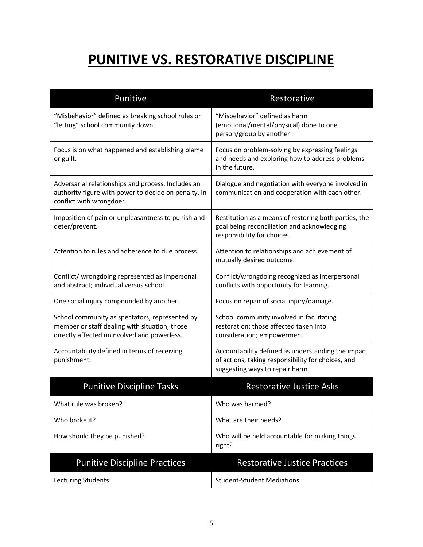## **PUNITIVE VS. RESTORATIVE DISCIPLINE**

| Punitive                                                                                                                                       | Restorative                                                                                                                                 |
|------------------------------------------------------------------------------------------------------------------------------------------------|---------------------------------------------------------------------------------------------------------------------------------------------|
| "Misbehavior" defined as breaking school rules or<br>"letting" school community down.                                                          | "Misbehavior" defined as harm<br>(emotional/mental/physical) done to one<br>person/group by another                                         |
| Focus is on what happened and establishing blame<br>or guilt.                                                                                  | Focus on problem-solving by expressing feelings<br>and needs and exploring how to address problems<br>in the future.                        |
| Adversarial relationships and process. Includes an<br>authority figure with power to decide on penalty, in<br>conflict with wrongdoer.         | Dialogue and negotiation with everyone involved in<br>communication and cooperation with each other.                                        |
| Imposition of pain or unpleasantness to punish and<br>deter/prevent.                                                                           | Restitution as a means of restoring both parties, the<br>goal being reconciliation and acknowledging<br>responsibility for choices.         |
| Attention to rules and adherence to due process.                                                                                               | Attention to relationships and achievement of<br>mutually desired outcome.                                                                  |
| Conflict/ wrongdoing represented as impersonal<br>and abstract; individual versus school.                                                      | Conflict/wrongdoing recognized as interpersonal<br>conflicts with opportunity for learning.                                                 |
| One social injury compounded by another.                                                                                                       | Focus on repair of social injury/damage.                                                                                                    |
| School community as spectators, represented by<br>member or staff dealing with situation; those<br>directly affected uninvolved and powerless. | School community involved in facilitating<br>restoration; those affected taken into<br>consideration; empowerment.                          |
| Accountability defined in terms of receiving<br>punishment.                                                                                    | Accountability defined as understanding the impact<br>of actions, taking responsibility for choices, and<br>suggesting ways to repair harm. |
| <b>Punitive Discipline Tasks</b>                                                                                                               | <b>Restorative Justice Asks</b>                                                                                                             |
| What rule was broken?                                                                                                                          | Who was harmed?                                                                                                                             |
| Who broke it?                                                                                                                                  | What are their needs?                                                                                                                       |
| How should they be punished?                                                                                                                   | Who will be held accountable for making things<br>right?                                                                                    |
| <b>Punitive Discipline Practices</b>                                                                                                           | <b>Restorative Justice Practices</b>                                                                                                        |
| Lecturing Students                                                                                                                             | <b>Student-Student Mediations</b>                                                                                                           |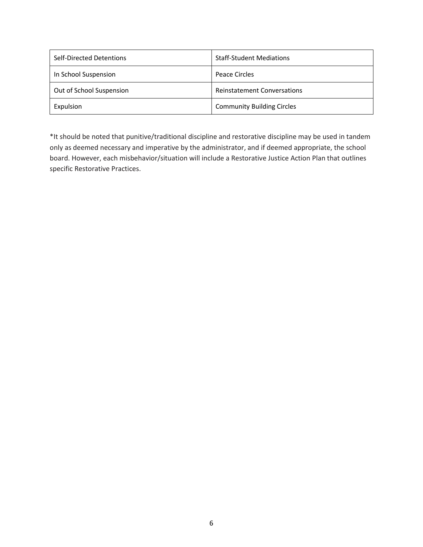| Self-Directed Detentions | <b>Staff-Student Mediations</b>    |
|--------------------------|------------------------------------|
| In School Suspension     | Peace Circles                      |
| Out of School Suspension | <b>Reinstatement Conversations</b> |
| Expulsion                | <b>Community Building Circles</b>  |

\*It should be noted that punitive/traditional discipline and restorative discipline may be used in tandem only as deemed necessary and imperative by the administrator, and if deemed appropriate, the school board. However, each misbehavior/situation will include a Restorative Justice Action Plan that outlines specific Restorative Practices.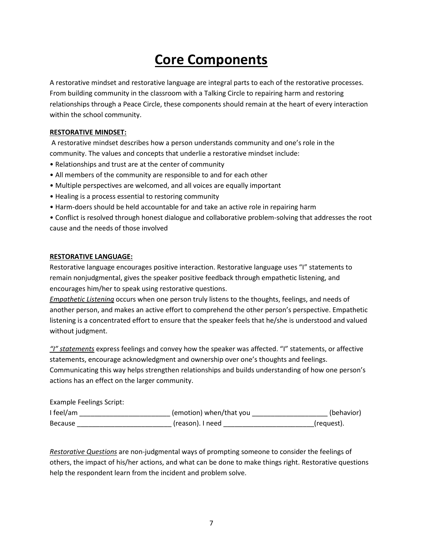## **Core Components**

A restorative mindset and restorative language are integral parts to each of the restorative processes. From building community in the classroom with a Talking Circle to repairing harm and restoring relationships through a Peace Circle, these components should remain at the heart of every interaction within the school community.

#### **RESTORATIVE MINDSET:**

A restorative mindset describes how a person understands community and one's role in the community. The values and concepts that underlie a restorative mindset include:

- Relationships and trust are at the center of community
- All members of the community are responsible to and for each other
- Multiple perspectives are welcomed, and all voices are equally important
- Healing is a process essential to restoring community
- Harm-doers should be held accountable for and take an active role in repairing harm

• Conflict is resolved through honest dialogue and collaborative problem-solving that addresses the root cause and the needs of those involved

#### **RESTORATIVE LANGUAGE:**

Restorative language encourages positive interaction. Restorative language uses "I" statements to remain nonjudgmental, gives the speaker positive feedback through empathetic listening, and encourages him/her to speak using restorative questions.

*Empathetic Listening* occurs when one person truly listens to the thoughts, feelings, and needs of another person, and makes an active effort to comprehend the other person's perspective. Empathetic listening is a concentrated effort to ensure that the speaker feels that he/she is understood and valued without judgment.

*"I" statements* express feelings and convey how the speaker was affected. "I" statements, or affective statements, encourage acknowledgment and ownership over one's thoughts and feelings. Communicating this way helps strengthen relationships and builds understanding of how one person's actions has an effect on the larger community.

Example Feelings Script:

| I feel/am      | (emotion) when/that you | (behavior) |
|----------------|-------------------------|------------|
| <b>Because</b> | (reason). I need        | (request). |

*Restorative Questions* are non-judgmental ways of prompting someone to consider the feelings of others, the impact of his/her actions, and what can be done to make things right. Restorative questions help the respondent learn from the incident and problem solve.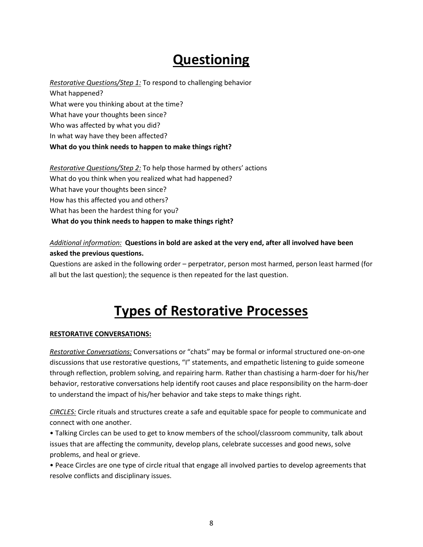## **Questioning**

*Restorative Questions/Step 1:* To respond to challenging behavior What happened? What were you thinking about at the time? What have your thoughts been since? Who was affected by what you did? In what way have they been affected? **What do you think needs to happen to make things right?** 

### *Restorative Questions/Step 2:* To help those harmed by others' actions What do you think when you realized what had happened? What have your thoughts been since? How has this affected you and others? What has been the hardest thing for you? **What do you think needs to happen to make things right?**

#### *Additional information:* **Questions in bold are asked at the very end, after all involved have been asked the previous questions.**

Questions are asked in the following order – perpetrator, person most harmed, person least harmed (for all but the last question); the sequence is then repeated for the last question.

## **Types of Restorative Processes**

#### **RESTORATIVE CONVERSATIONS:**

*Restorative Conversations:* Conversations or "chats" may be formal or informal structured one-on-one discussions that use restorative questions, "I" statements, and empathetic listening to guide someone through reflection, problem solving, and repairing harm. Rather than chastising a harm-doer for his/her behavior, restorative conversations help identify root causes and place responsibility on the harm-doer to understand the impact of his/her behavior and take steps to make things right.

*CIRCLES:* Circle rituals and structures create a safe and equitable space for people to communicate and connect with one another.

• Talking Circles can be used to get to know members of the school/classroom community, talk about issues that are affecting the community, develop plans, celebrate successes and good news, solve problems, and heal or grieve.

• Peace Circles are one type of circle ritual that engage all involved parties to develop agreements that resolve conflicts and disciplinary issues.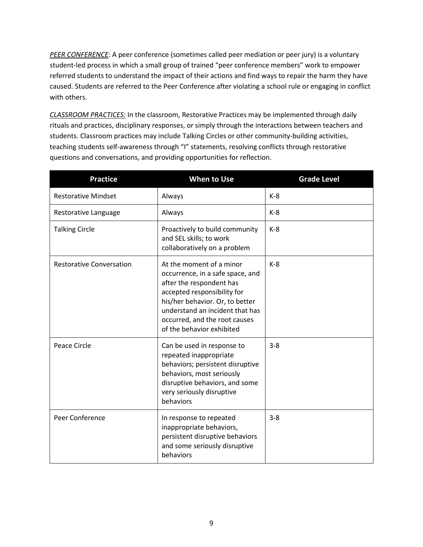*PEER CONFERENCE*: A peer conference (sometimes called peer mediation or peer jury) is a voluntary student-led process in which a small group of trained "peer conference members" work to empower referred students to understand the impact of their actions and find ways to repair the harm they have caused. Students are referred to the Peer Conference after violating a school rule or engaging in conflict with others.

*CLASSROOM PRACTICES:* In the classroom, Restorative Practices may be implemented through daily rituals and practices, disciplinary responses, or simply through the interactions between teachers and students. Classroom practices may include Talking Circles or other community-building activities, teaching students self-awareness through "I" statements, resolving conflicts through restorative questions and conversations, and providing opportunities for reflection.

| <b>Practice</b>                 | <b>When to Use</b>                                                                                                                                                                                                                                          | <b>Grade Level</b> |
|---------------------------------|-------------------------------------------------------------------------------------------------------------------------------------------------------------------------------------------------------------------------------------------------------------|--------------------|
| <b>Restorative Mindset</b>      | Always                                                                                                                                                                                                                                                      | $K-8$              |
| Restorative Language            | Always                                                                                                                                                                                                                                                      | $K-8$              |
| <b>Talking Circle</b>           | Proactively to build community<br>and SEL skills; to work<br>collaboratively on a problem                                                                                                                                                                   | $K-8$              |
| <b>Restorative Conversation</b> | At the moment of a minor<br>occurrence, in a safe space, and<br>after the respondent has<br>accepted responsibility for<br>his/her behavior. Or, to better<br>understand an incident that has<br>occurred, and the root causes<br>of the behavior exhibited | $K-8$              |
| Peace Circle                    | Can be used in response to<br>repeated inappropriate<br>behaviors; persistent disruptive<br>behaviors, most seriously<br>disruptive behaviors, and some<br>very seriously disruptive<br>behaviors                                                           | $3 - 8$            |
| Peer Conference                 | In response to repeated<br>inappropriate behaviors,<br>persistent disruptive behaviors<br>and some seriously disruptive<br>behaviors                                                                                                                        | $3 - 8$            |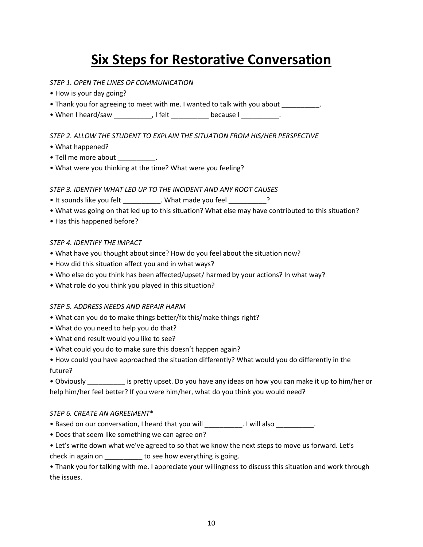## **Six Steps for Restorative Conversation**

#### *STEP 1. OPEN THE LINES OF COMMUNICATION*

- How is your day going?
- Thank you for agreeing to meet with me. I wanted to talk with you about \_\_\_\_\_\_\_\_\_.
- When I heard/saw external only if felt the cause I contains the cause I contains the cause I contains the cause  $\mathbf{I}$

#### *STEP 2. ALLOW THE STUDENT TO EXPLAIN THE SITUATION FROM HIS/HER PERSPECTIVE*

- What happened?
- Tell me more about the control of  $\sim$
- What were you thinking at the time? What were you feeling?

#### *STEP 3. IDENTIFY WHAT LED UP TO THE INCIDENT AND ANY ROOT CAUSES*

- It sounds like you felt \_\_\_\_\_\_\_\_\_\_. What made you feel \_\_\_\_\_\_\_\_?
- What was going on that led up to this situation? What else may have contributed to this situation?
- Has this happened before?

#### *STEP 4. IDENTIFY THE IMPACT*

- What have you thought about since? How do you feel about the situation now?
- How did this situation affect you and in what ways?
- Who else do you think has been affected/upset/ harmed by your actions? In what way?
- What role do you think you played in this situation?

#### *STEP 5. ADDRESS NEEDS AND REPAIR HARM*

- What can you do to make things better/fix this/make things right?
- What do you need to help you do that?
- What end result would you like to see?
- What could you do to make sure this doesn't happen again?

• How could you have approached the situation differently? What would you do differently in the future?

• Obviously \_\_\_\_\_\_\_\_\_\_ is pretty upset. Do you have any ideas on how you can make it up to him/her or help him/her feel better? If you were him/her, what do you think you would need?

#### *STEP 6. CREATE AN AGREEMENT*\*

- Based on our conversation, I heard that you will **will also** ... I will also  $\blacksquare$
- Does that seem like something we can agree on?
- Let's write down what we've agreed to so that we know the next steps to move us forward. Let's

check in again on \_\_\_\_\_\_\_\_\_\_ to see how everything is going.

• Thank you for talking with me. I appreciate your willingness to discuss this situation and work through the issues.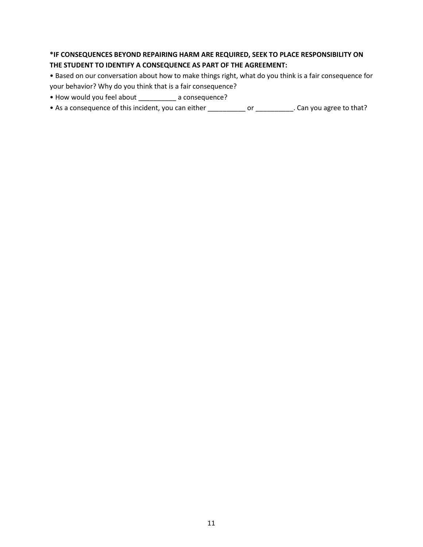#### **\*IF CONSEQUENCES BEYOND REPAIRING HARM ARE REQUIRED, SEEK TO PLACE RESPONSIBILITY ON THE STUDENT TO IDENTIFY A CONSEQUENCE AS PART OF THE AGREEMENT:**

• Based on our conversation about how to make things right, what do you think is a fair consequence for your behavior? Why do you think that is a fair consequence?

- How would you feel about \_\_\_\_\_\_\_\_\_\_ a consequence?
- As a consequence of this incident, you can either \_\_\_\_\_\_\_\_\_\_\_\_\_ or \_\_\_\_\_\_\_\_\_\_\_. Can you agree to that?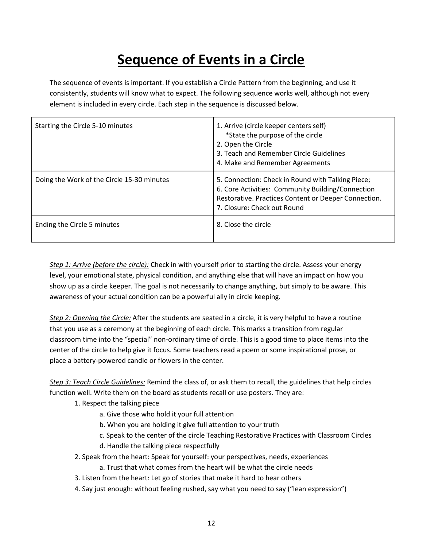## **Sequence of Events in a Circle**

The sequence of events is important. If you establish a Circle Pattern from the beginning, and use it consistently, students will know what to expect. The following sequence works well, although not every element is included in every circle. Each step in the sequence is discussed below.

| Starting the Circle 5-10 minutes           | 1. Arrive (circle keeper centers self)<br>*State the purpose of the circle<br>2. Open the Circle<br>3. Teach and Remember Circle Guidelines<br>4. Make and Remember Agreements                |
|--------------------------------------------|-----------------------------------------------------------------------------------------------------------------------------------------------------------------------------------------------|
| Doing the Work of the Circle 15-30 minutes | 5. Connection: Check in Round with Talking Piece;<br>6. Core Activities: Community Building/Connection<br>Restorative. Practices Content or Deeper Connection.<br>7. Closure: Check out Round |
| Ending the Circle 5 minutes                | 8. Close the circle                                                                                                                                                                           |

*Step 1: Arrive (before the circle):* Check in with yourself prior to starting the circle. Assess your energy level, your emotional state, physical condition, and anything else that will have an impact on how you show up as a circle keeper. The goal is not necessarily to change anything, but simply to be aware. This awareness of your actual condition can be a powerful ally in circle keeping.

*Step 2: Opening the Circle:* After the students are seated in a circle, it is very helpful to have a routine that you use as a ceremony at the beginning of each circle. This marks a transition from regular classroom time into the "special" non-ordinary time of circle. This is a good time to place items into the center of the circle to help give it focus. Some teachers read a poem or some inspirational prose, or place a battery-powered candle or flowers in the center.

*Step 3: Teach Circle Guidelines:* Remind the class of, or ask them to recall, the guidelines that help circles function well. Write them on the board as students recall or use posters. They are:

1. Respect the talking piece

- a. Give those who hold it your full attention
- b. When you are holding it give full attention to your truth
- c. Speak to the center of the circle Teaching Restorative Practices with Classroom Circles
- d. Handle the talking piece respectfully
- 2. Speak from the heart: Speak for yourself: your perspectives, needs, experiences
	- a. Trust that what comes from the heart will be what the circle needs
- 3. Listen from the heart: Let go of stories that make it hard to hear others
- 4. Say just enough: without feeling rushed, say what you need to say ("lean expression")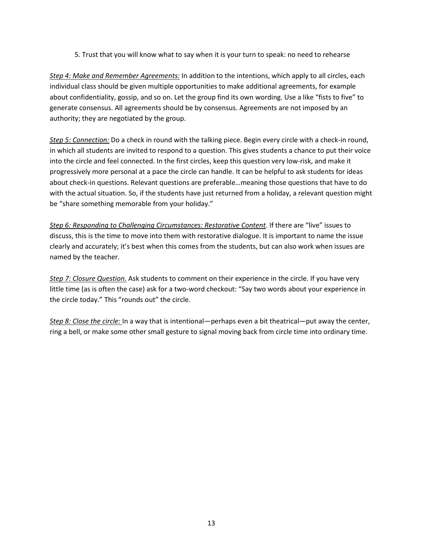5. Trust that you will know what to say when it is your turn to speak: no need to rehearse

*Step 4: Make and Remember Agreements:* In addition to the intentions, which apply to all circles, each individual class should be given multiple opportunities to make additional agreements, for example about confidentiality, gossip, and so on. Let the group find its own wording. Use a like "fists to five" to generate consensus. All agreements should be by consensus. Agreements are not imposed by an authority; they are negotiated by the group.

*Step 5: Connection:* Do a check in round with the talking piece. Begin every circle with a check-in round, in which all students are invited to respond to a question. This gives students a chance to put their voice into the circle and feel connected. In the first circles, keep this question very low-risk, and make it progressively more personal at a pace the circle can handle. It can be helpful to ask students for ideas about check-in questions. Relevant questions are preferable…meaning those questions that have to do with the actual situation. So, if the students have just returned from a holiday, a relevant question might be "share something memorable from your holiday."

*Step 6: Responding to Challenging Circumstances: Restorative Content*. If there are "live" issues to discuss, this is the time to move into them with restorative dialogue. It is important to name the issue clearly and accurately; it's best when this comes from the students, but can also work when issues are named by the teacher.

*Step 7: Closure Question.* Ask students to comment on their experience in the circle. If you have very little time (as is often the case) ask for a two-word checkout: "Say two words about your experience in the circle today." This "rounds out" the circle.

*Step 8: Close the circle:* In a way that is intentional—perhaps even a bit theatrical—put away the center, ring a bell, or make some other small gesture to signal moving back from circle time into ordinary time.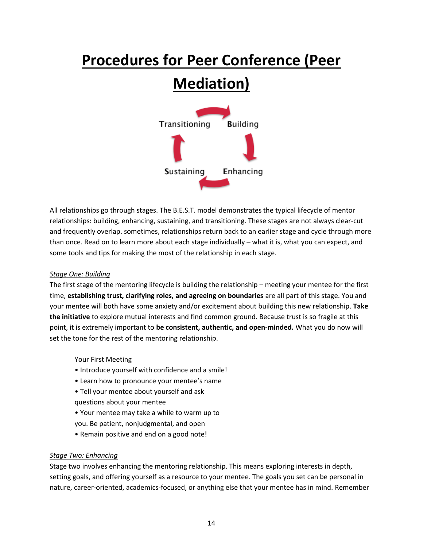# **Procedures for Peer Conference (Peer Mediation)**



All relationships go through stages. The B.E.S.T. model demonstrates the typical lifecycle of mentor relationships: building, enhancing, sustaining, and transitioning. These stages are not always clear-cut and frequently overlap. sometimes, relationships return back to an earlier stage and cycle through more than once. Read on to learn more about each stage individually – what it is, what you can expect, and some tools and tips for making the most of the relationship in each stage.

#### *Stage One: Building*

The first stage of the mentoring lifecycle is building the relationship – meeting your mentee for the first time, **establishing trust, clarifying roles, and agreeing on boundaries** are all part of this stage. You and your mentee will both have some anxiety and/or excitement about building this new relationship. **Take the initiative** to explore mutual interests and find common ground. Because trust is so fragile at this point, it is extremely important to **be consistent, authentic, and open-minded.** What you do now will set the tone for the rest of the mentoring relationship.

Your First Meeting

- Introduce yourself with confidence and a smile!
- Learn how to pronounce your mentee's name
- Tell your mentee about yourself and ask questions about your mentee
- Your mentee may take a while to warm up to you. Be patient, nonjudgmental, and open
- Remain positive and end on a good note!

#### *Stage Two: Enhancing*

Stage two involves enhancing the mentoring relationship. This means exploring interests in depth, setting goals, and offering yourself as a resource to your mentee. The goals you set can be personal in nature, career-oriented, academics-focused, or anything else that your mentee has in mind. Remember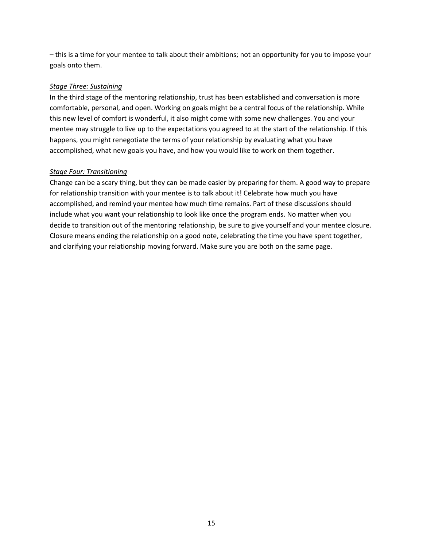– this is a time for your mentee to talk about their ambitions; not an opportunity for you to impose your goals onto them.

#### *Stage Three: Sustaining*

In the third stage of the mentoring relationship, trust has been established and conversation is more comfortable, personal, and open. Working on goals might be a central focus of the relationship. While this new level of comfort is wonderful, it also might come with some new challenges. You and your mentee may struggle to live up to the expectations you agreed to at the start of the relationship. If this happens, you might renegotiate the terms of your relationship by evaluating what you have accomplished, what new goals you have, and how you would like to work on them together.

#### *Stage Four: Transitioning*

Change can be a scary thing, but they can be made easier by preparing for them. A good way to prepare for relationship transition with your mentee is to talk about it! Celebrate how much you have accomplished, and remind your mentee how much time remains. Part of these discussions should include what you want your relationship to look like once the program ends. No matter when you decide to transition out of the mentoring relationship, be sure to give yourself and your mentee closure. Closure means ending the relationship on a good note, celebrating the time you have spent together, and clarifying your relationship moving forward. Make sure you are both on the same page.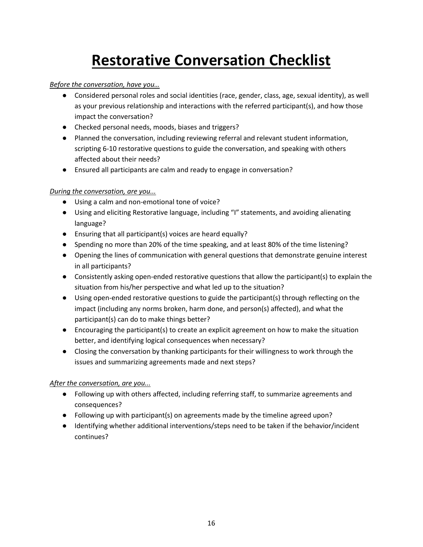# **Restorative Conversation Checklist**

#### *Before the conversation, have you…*

- Considered personal roles and social identities (race, gender, class, age, sexual identity), as well as your previous relationship and interactions with the referred participant(s), and how those impact the conversation?
- Checked personal needs, moods, biases and triggers?
- Planned the conversation, including reviewing referral and relevant student information, scripting 6-10 restorative questions to guide the conversation, and speaking with others affected about their needs?
- Ensured all participants are calm and ready to engage in conversation?

#### *During the conversation, are you...*

- Using a calm and non-emotional tone of voice?
- Using and eliciting Restorative language, including "I" statements, and avoiding alienating language?
- Ensuring that all participant(s) voices are heard equally?
- Spending no more than 20% of the time speaking, and at least 80% of the time listening?
- Opening the lines of communication with general questions that demonstrate genuine interest in all participants?
- Consistently asking open-ended restorative questions that allow the participant(s) to explain the situation from his/her perspective and what led up to the situation?
- Using open-ended restorative questions to guide the participant(s) through reflecting on the impact (including any norms broken, harm done, and person(s) affected), and what the participant(s) can do to make things better?
- Encouraging the participant(s) to create an explicit agreement on how to make the situation better, and identifying logical consequences when necessary?
- Closing the conversation by thanking participants for their willingness to work through the issues and summarizing agreements made and next steps?

#### *After the conversation, are you...*

- Following up with others affected, including referring staff, to summarize agreements and consequences?
- Following up with participant(s) on agreements made by the timeline agreed upon?
- Identifying whether additional interventions/steps need to be taken if the behavior/incident continues?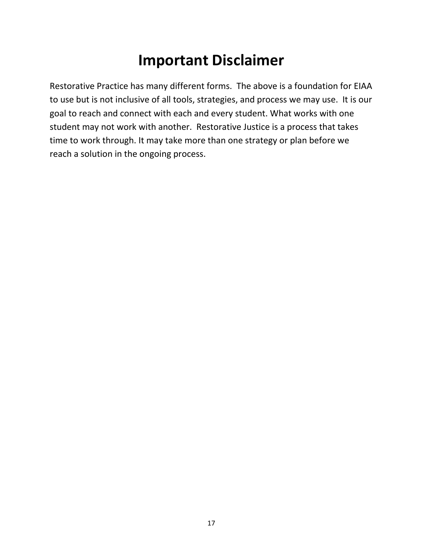## **Important Disclaimer**

Restorative Practice has many different forms. The above is a foundation for EIAA to use but is not inclusive of all tools, strategies, and process we may use. It is our goal to reach and connect with each and every student. What works with one student may not work with another. Restorative Justice is a process that takes time to work through. It may take more than one strategy or plan before we reach a solution in the ongoing process.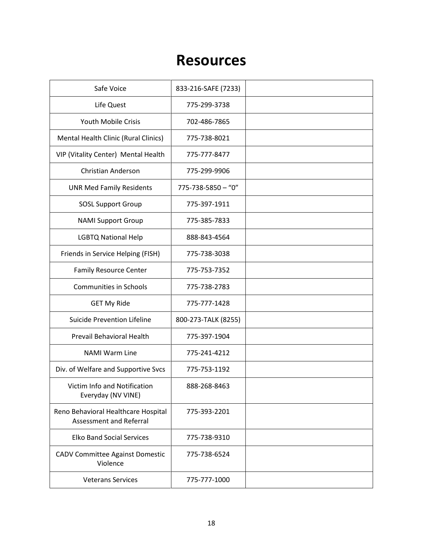## **Resources**

| Safe Voice                                                     | 833-216-SAFE (7233)      |  |
|----------------------------------------------------------------|--------------------------|--|
| Life Quest                                                     | 775-299-3738             |  |
| <b>Youth Mobile Crisis</b>                                     | 702-486-7865             |  |
| Mental Health Clinic (Rural Clinics)                           | 775-738-8021             |  |
| VIP (Vitality Center) Mental Health                            | 775-777-8477             |  |
| <b>Christian Anderson</b>                                      | 775-299-9906             |  |
| <b>UNR Med Family Residents</b>                                | $775 - 738 - 5850 - "0"$ |  |
| <b>SOSL Support Group</b>                                      | 775-397-1911             |  |
| <b>NAMI Support Group</b>                                      | 775-385-7833             |  |
| <b>LGBTQ National Help</b>                                     | 888-843-4564             |  |
| Friends in Service Helping (FISH)                              | 775-738-3038             |  |
| <b>Family Resource Center</b>                                  | 775-753-7352             |  |
| <b>Communities in Schools</b>                                  | 775-738-2783             |  |
| <b>GET My Ride</b>                                             | 775-777-1428             |  |
| <b>Suicide Prevention Lifeline</b>                             | 800-273-TALK (8255)      |  |
| Prevail Behavioral Health                                      | 775-397-1904             |  |
| <b>NAMI Warm Line</b>                                          | 775-241-4212             |  |
| Div. of Welfare and Supportive Svcs                            | 775-753-1192             |  |
| Victim Info and Notification<br>Everyday (NV VINE)             | 888-268-8463             |  |
| Reno Behavioral Healthcare Hospital<br>Assessment and Referral | 775-393-2201             |  |
| <b>Elko Band Social Services</b>                               | 775-738-9310             |  |
| CADV Committee Against Domestic<br>Violence                    | 775-738-6524             |  |
| <b>Veterans Services</b>                                       | 775-777-1000             |  |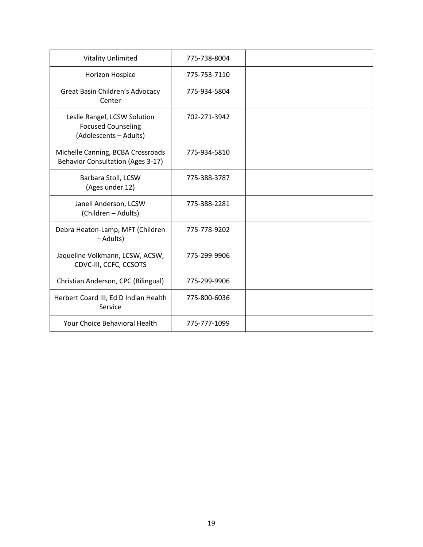| <b>Vitality Unlimited</b>                                                           | 775-738-8004 |  |
|-------------------------------------------------------------------------------------|--------------|--|
| Horizon Hospice                                                                     | 775-753-7110 |  |
| Great Basin Children's Advocacy<br>Center                                           | 775-934-5804 |  |
| Leslie Rangel, LCSW Solution<br><b>Focused Counseling</b><br>(Adolescents - Adults) | 702-271-3942 |  |
| Michelle Canning, BCBA Crossroads<br><b>Behavior Consultation (Ages 3-17)</b>       | 775-934-5810 |  |
| Barbara Stoll, LCSW<br>(Ages under 12)                                              | 775-388-3787 |  |
| Janell Anderson, LCSW<br>(Children - Adults)                                        | 775-388-2281 |  |
| Debra Heaton-Lamp, MFT (Children<br>- Adults)                                       | 775-778-9202 |  |
| Jaqueline Volkmann, LCSW, ACSW,<br>CDVC-III, CCFC, CCSOTS                           | 775-299-9906 |  |
| Christian Anderson, CPC (Bilingual)                                                 | 775-299-9906 |  |
| Herbert Coard III, Ed D Indian Health<br>Service                                    | 775-800-6036 |  |
| <b>Your Choice Behavioral Health</b>                                                | 775-777-1099 |  |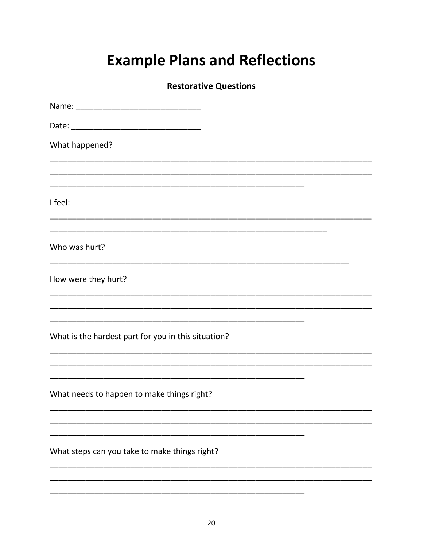# **Example Plans and Reflections**

### **Restorative Questions**

| What happened?                                      |
|-----------------------------------------------------|
|                                                     |
| I feel:                                             |
| Who was hurt?                                       |
|                                                     |
| How were they hurt?                                 |
|                                                     |
| What is the hardest part for you in this situation? |
|                                                     |
| What needs to happen to make things right?          |
|                                                     |
| What steps can you take to make things right?       |
|                                                     |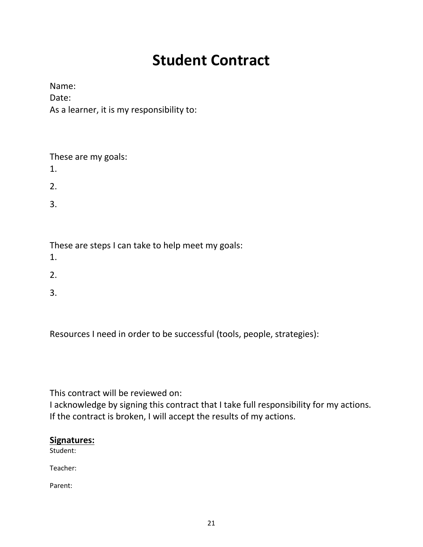# **Student Contract**

Name: Date: As a learner, it is my responsibility to:

| These are my goals:<br>1. |  |
|---------------------------|--|
| 2.                        |  |
| 3.                        |  |
|                           |  |

These are steps I can take to help meet my goals:

- 1.
- 2.
- 3.

Resources I need in order to be successful (tools, people, strategies):

This contract will be reviewed on:

I acknowledge by signing this contract that I take full responsibility for my actions. If the contract is broken, I will accept the results of my actions.

### **Signatures:**

Student:

Teacher:

Parent: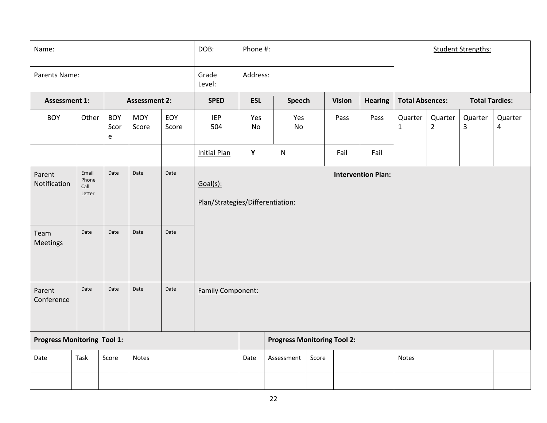| Name:                                      |                                          |                         |                      |              | DOB:<br>Phone #:                             |            |                                    | <b>Student Strengths:</b> |               |                           |                                                 |                           |              |                                    |
|--------------------------------------------|------------------------------------------|-------------------------|----------------------|--------------|----------------------------------------------|------------|------------------------------------|---------------------------|---------------|---------------------------|-------------------------------------------------|---------------------------|--------------|------------------------------------|
| Parents Name:                              |                                          |                         |                      |              | Grade<br>Level:                              | Address:   |                                    |                           |               |                           |                                                 |                           |              |                                    |
| <b>Assessment 1:</b>                       |                                          |                         | <b>Assessment 2:</b> |              | <b>SPED</b>                                  | <b>ESL</b> | <b>Speech</b>                      |                           | <b>Vision</b> | <b>Hearing</b>            | <b>Total Tardies:</b><br><b>Total Absences:</b> |                           |              |                                    |
| <b>BOY</b>                                 | Other                                    | <b>BOY</b><br>Scor<br>e | <b>MOY</b><br>Score  | EOY<br>Score | <b>IEP</b><br>504                            | Yes<br>No  | Yes<br>No                          |                           | Pass          | Pass                      | Quarter<br>$\mathbf{1}$                         | Quarter<br>$\overline{2}$ | Quarter<br>3 | Quarter<br>$\overline{\mathbf{4}}$ |
|                                            |                                          |                         |                      |              | <b>Initial Plan</b>                          | Y          | ${\sf N}$                          |                           | Fail          | Fail                      |                                                 |                           |              |                                    |
| Parent<br>Notification<br>Team<br>Meetings | Email<br>Phone<br>Call<br>Letter<br>Date | Date<br>Date            | Date<br>Date         | Date<br>Date | Goal(s):<br>Plan/Strategies/Differentiation: |            |                                    |                           |               | <b>Intervention Plan:</b> |                                                 |                           |              |                                    |
| Parent<br>Conference                       | Date                                     | Date                    | Date                 | Date         | <b>Family Component:</b>                     |            |                                    |                           |               |                           |                                                 |                           |              |                                    |
| <b>Progress Monitoring Tool 1:</b>         |                                          |                         |                      |              |                                              |            | <b>Progress Monitoring Tool 2:</b> |                           |               |                           |                                                 |                           |              |                                    |
| Date                                       | Task                                     | Score                   | Notes                |              |                                              | Date       | Assessment                         | Score                     |               |                           | <b>Notes</b>                                    |                           |              |                                    |
|                                            |                                          |                         |                      |              |                                              |            |                                    |                           |               |                           |                                                 |                           |              |                                    |